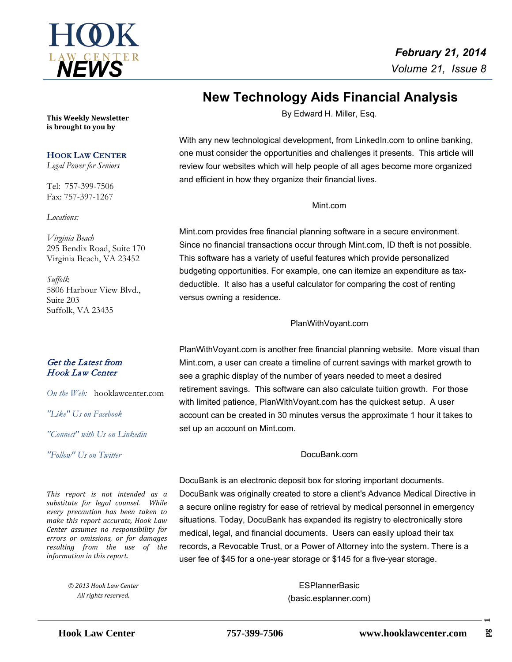

# **New Technology Aids Financial Analysis**

By Edward H. Miller, Esq.

 With any new technological development, from LinkedIn.com to online banking, one must consider the opportunities and challenges it presents. This article will review four websites which will help people of all ages become more organized and efficient in how they organize their financial lives.

### Mint.com

Mint.com provides free financial planning software in a secure environment. Since no financial transactions occur through Mint.com, ID theft is not possible. This software has a variety of useful features which provide personalized budgeting opportunities. For example, one can itemize an expenditure as taxdeductible. It also has a useful calculator for comparing the cost of renting versus owning a residence.

### PlanWithVoyant.com

PlanWithVoyant.com is another free financial planning website. More visual than Mint.com, a user can create a timeline of current savings with market growth to see a graphic display of the number of years needed to meet a desired retirement savings. This software can also calculate tuition growth. For those with limited patience, PlanWithVoyant.com has the quickest setup. A user account can be created in 30 minutes versus the approximate 1 hour it takes to set up an account on Mint.com.

### DocuBank.com

DocuBank is an electronic deposit box for storing important documents. DocuBank was originally created to store a client's Advance Medical Directive in a secure online registry for ease of retrieval by medical personnel in emergency situations. Today, DocuBank has expanded its registry to electronically store medical, legal, and financial documents. Users can easily upload their tax records, a Revocable Trust, or a Power of Attorney into the system. There is a user fee of \$45 for a one-year storage or \$145 for a five-year storage.

> **ESPlannerBasic** (basic.esplanner.com)

**This Weekly Newsletter is brought to you by** 

### **HOOK LAW CENTER**

*Legal Power for Seniors*

Tel: 757-399-7506 Fax: 757-397-1267

*Locations:*

*Virginia Beach* 295 Bendix Road, Suite 170 Virginia Beach, VA 23452

*Suffolk* 5806 Harbour View Blvd., Suite 203 Suffolk, VA 23435

# Get the Latest from Hook Law Center

*On the Web:* [hooklawcenter.com](http://www.hooklawcenter.com/)

*"Like" Us on Facebook*

*"Connect" with Us on Linkedin*

*Follow*" Us on Ti *"Follow" Us on Twitter*

*This report is not intended as a substitute for legal counsel. While every precaution has been taken to make this report accurate, Hook Law Center assumes no responsibility for errors or omissions, or for damages resulting from the use of the information in this report.*

> *© 2013 Hook Law Center All rights reserved.*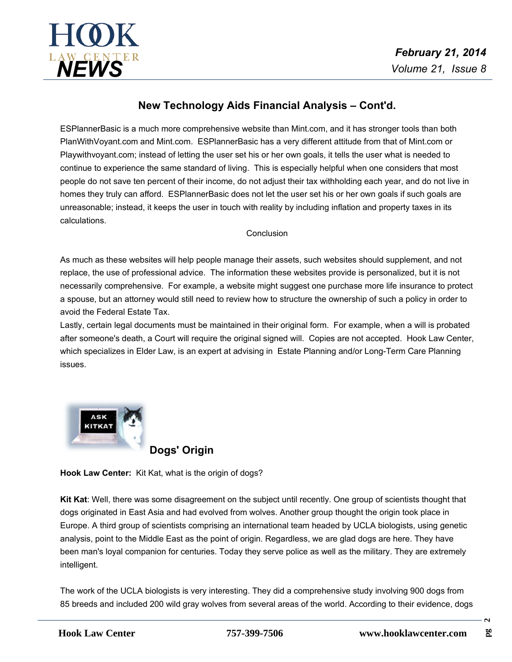

# **New Technology Aids Financial Analysis – Cont'd.**

ESPlannerBasic is a much more comprehensive website than Mint.com, and it has stronger tools than both PlanWithVoyant.com and Mint.com. ESPlannerBasic has a very different attitude from that of Mint.com or Playwithvoyant.com; instead of letting the user set his or her own goals, it tells the user what is needed to continue to experience the same standard of living. This is especially helpful when one considers that most people do not save ten percent of their income, do not adjust their tax withholding each year, and do not live in homes they truly can afford. ESPlannerBasic does not let the user set his or her own goals if such goals are unreasonable; instead, it keeps the user in touch with reality by including inflation and property taxes in its calculations.

### **Conclusion**

As much as these websites will help people manage their assets, such websites should supplement, and not replace, the use of professional advice. The information these websites provide is personalized, but it is not necessarily comprehensive. For example, a website might suggestone purchase more life insurance to protect a spouse, but an attorney would still need to review how to structure the ownership of such a policy in order to avoid the Federal Estate Tax.

Lastly, certain legal documents must be maintained in their original form. For example, when a will is probated after someone's death, a Court will require the original signed will. Copies are not accepted. Hook Law Center, which specializes in Elder Law, is an expert at advising in Estate Planning and/or Long-Term Care Planning issues.



**Dogs' Origin**

**Hook Law Center:** Kit Kat, what is the origin of dogs?

**Kit Kat**: Well, there was some disagreement on the subject until recently. One group of scientists thought that dogs originated in East Asia and had evolved from wolves. Another group thought the origin took place in Europe. A third group of scientists comprising an international team headed by UCLA biologists, using genetic analysis, point to the Middle East as the point of origin. Regardless, we are glad dogs are here. They have been man's loyal companion for centuries. Today they serve police as well as the military. They are extremely intelligent.

The work of the UCLA biologists is very interesting. They did a comprehensive study involving 900 dogs from 85 breeds and included 200 wild gray wolves from several areas of the world. According to their evidence, dogs

 $\mathbf{a}$